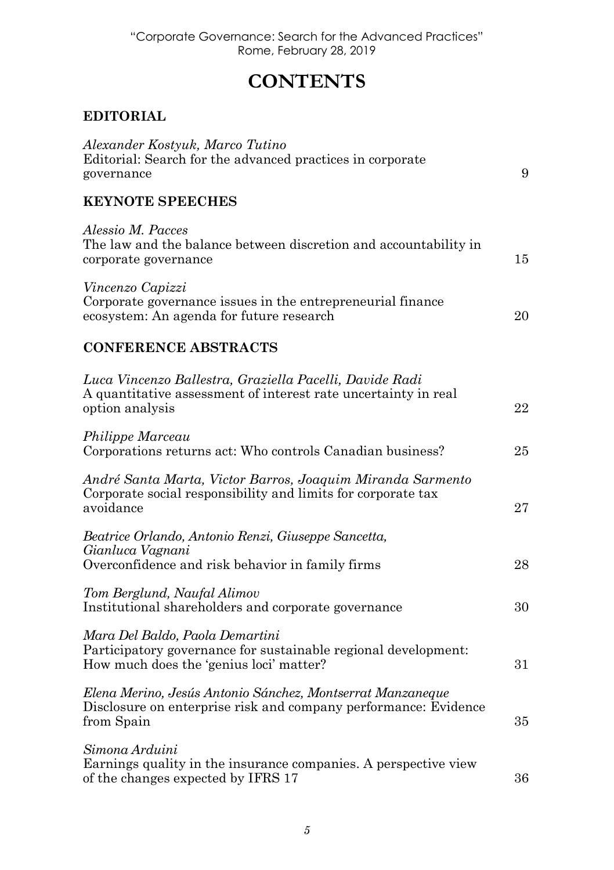## **CONTENTS**

## **EDITORIAL**

| Alexander Kostyuk, Marco Tutino<br>Editorial: Search for the advanced practices in corporate<br>governance                                   | 9  |
|----------------------------------------------------------------------------------------------------------------------------------------------|----|
| <b>KEYNOTE SPEECHES</b>                                                                                                                      |    |
| Alessio M. Pacces<br>The law and the balance between discretion and accountability in<br>corporate governance                                | 15 |
| Vincenzo Capizzi<br>Corporate governance issues in the entrepreneurial finance<br>ecosystem: An agenda for future research                   | 20 |
| <b>CONFERENCE ABSTRACTS</b>                                                                                                                  |    |
| Luca Vincenzo Ballestra, Graziella Pacelli, Davide Radi<br>A quantitative assessment of interest rate uncertainty in real<br>option analysis | 22 |
| Philippe Marceau<br>Corporations returns act: Who controls Canadian business?                                                                | 25 |
| André Santa Marta, Victor Barros, Joaquim Miranda Sarmento<br>Corporate social responsibility and limits for corporate tax<br>avoidance      | 27 |
| Beatrice Orlando, Antonio Renzi, Giuseppe Sancetta,<br>Gianluca Vagnani<br>Overconfidence and risk behavior in family firms                  | 28 |
| Tom Berglund, Naufal Alimov<br>Institutional shareholders and corporate governance                                                           | 30 |
| Mara Del Baldo, Paola Demartini<br>Participatory governance for sustainable regional development:<br>How much does the 'genius loci' matter? | 31 |
| Elena Merino, Jesús Antonio Sánchez, Montserrat Manzaneque<br>Disclosure on enterprise risk and company performance: Evidence<br>from Spain  | 35 |
| Simona Arduini<br>Earnings quality in the insurance companies. A perspective view<br>of the changes expected by IFRS 17                      | 36 |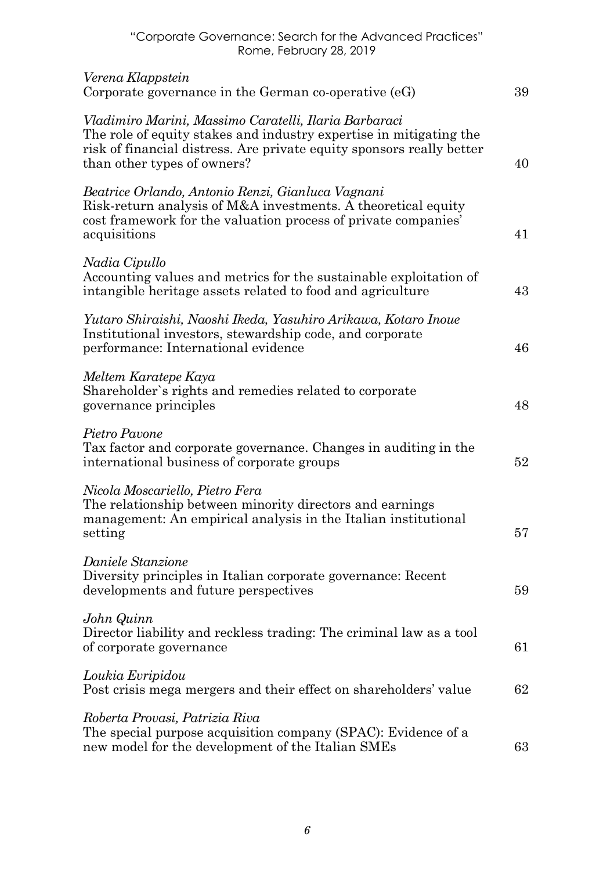"Corporate Governance: Search for the Advanced Practices" Rome, February 28, 2019

| Verena Klappstein<br>Corporate governance in the German co-operative $(eG)$                                                                                                                                                         | 39 |
|-------------------------------------------------------------------------------------------------------------------------------------------------------------------------------------------------------------------------------------|----|
| Vladimiro Marini, Massimo Caratelli, Ilaria Barbaraci<br>The role of equity stakes and industry expertise in mitigating the<br>risk of financial distress. Are private equity sponsors really better<br>than other types of owners? | 40 |
| Beatrice Orlando, Antonio Renzi, Gianluca Vagnani<br>Risk-return analysis of M&A investments. A theoretical equity<br>cost framework for the valuation process of private companies'<br>acquisitions                                | 41 |
| Nadia Cipullo<br>Accounting values and metrics for the sustainable exploitation of<br>intangible heritage assets related to food and agriculture                                                                                    | 43 |
| Yutaro Shiraishi, Naoshi Ikeda, Yasuhiro Arikawa, Kotaro Inoue<br>Institutional investors, stewardship code, and corporate<br>performance: International evidence                                                                   | 46 |
| Meltem Karatepe Kaya<br>Shareholder's rights and remedies related to corporate<br>governance principles                                                                                                                             | 48 |
| Pietro Pavone<br>Tax factor and corporate governance. Changes in auditing in the<br>international business of corporate groups                                                                                                      | 52 |
| Nicola Moscariello, Pietro Fera<br>The relationship between minority directors and earnings<br>management: An empirical analysis in the Italian institutional<br>setting                                                            | 57 |
| Daniele Stanzione<br>Diversity principles in Italian corporate governance: Recent<br>developments and future perspectives                                                                                                           | 59 |
| John Quinn<br>Director liability and reckless trading: The criminal law as a tool<br>of corporate governance                                                                                                                        | 61 |
| Loukia Evripidou<br>Post crisis mega mergers and their effect on shareholders' value                                                                                                                                                | 62 |
| Roberta Provasi, Patrizia Riva<br>The special purpose acquisition company (SPAC): Evidence of a<br>new model for the development of the Italian SMEs                                                                                | 63 |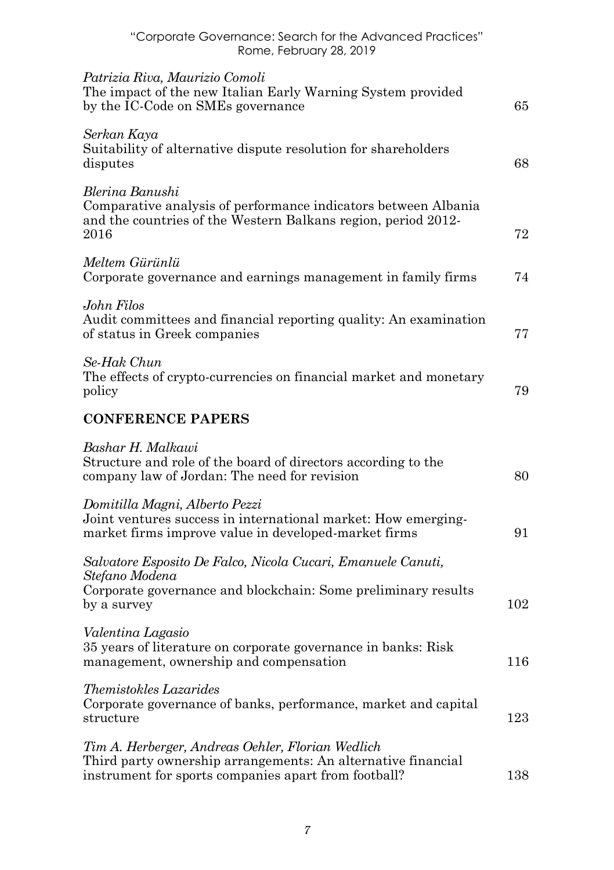"Corporate Governance: Search for the Advanced Practices" Rome, February 28, 2019

| Patrizia Riva, Maurizio Comoli<br>The impact of the new Italian Early Warning System provided<br>by the IC-Code on SMEs governance                                        | 65  |
|---------------------------------------------------------------------------------------------------------------------------------------------------------------------------|-----|
| Serkan Kaya<br>Suitability of alternative dispute resolution for shareholders<br>disputes                                                                                 | 68  |
| Blerina Banushi<br>Comparative analysis of performance indicators between Albania<br>and the countries of the Western Balkans region, period 2012-<br>2016                | 72  |
| Meltem Gürünlü<br>Corporate governance and earnings management in family firms                                                                                            | 74  |
| John Filos<br>Audit committees and financial reporting quality: An examination<br>of status in Greek companies                                                            | 77  |
| Se-Hak Chun<br>The effects of crypto-currencies on financial market and monetary<br>policy                                                                                | 79  |
| <b>CONFERENCE PAPERS</b>                                                                                                                                                  |     |
| Bashar H. Malkawi<br>Structure and role of the board of directors according to the<br>company law of Jordan: The need for revision                                        | 80  |
| Domitilla Magni, Alberto Pezzi<br>Joint ventures success in international market: How emerging-<br>market firms improve value in developed-market firms                   | 91  |
| Salvatore Esposito De Falco, Nicola Cucari, Emanuele Canuti,                                                                                                              |     |
| Stefano Modena<br>Corporate governance and blockchain: Some preliminary results<br>by a survey                                                                            | 102 |
| Valentina Lagasio<br>35 years of literature on corporate governance in banks: Risk<br>management, ownership and compensation                                              | 116 |
| Themistokles Lazarides<br>Corporate governance of banks, performance, market and capital<br>structure                                                                     | 123 |
| Tim A. Herberger, Andreas Oehler, Florian Wedlich<br>Third party ownership arrangements: An alternative financial<br>instrument for sports companies apart from football? | 138 |